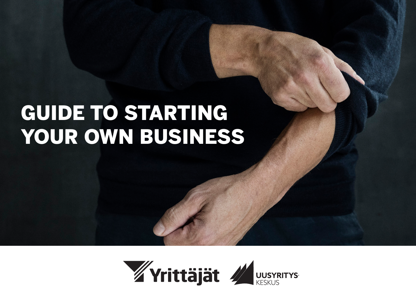# GUIDE TO STARTING YOUR OWN BUSINESS

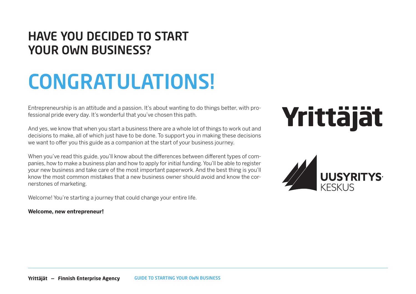## HAVE YOU DECIDED TO START YOUR OWN BUSINESS?

# CONGRATULATIONS!

Entrepreneurship is an attitude and a passion. It's about wanting to do things better, with professional pride every day. It's wonderful that you've chosen this path.

And yes, we know that when you start a business there are a whole lot of things to work out and decisions to make, all of which just have to be done. To support you in making these decisions we want to offer you this guide as a companion at the start of your business journey.

When you've read this guide, you'll know about the differences between different types of companies, how to make a business plan and how to apply for initial funding. You'll be able to register your new business and take care of the most important paperwork. And the best thing is you'll know the most common mistakes that a new business owner should avoid and know the cornerstones of marketing.

Welcome! You're starting a journey that could change your entire life.

#### **Welcome, new entrepreneur!**

# Yrittäjät

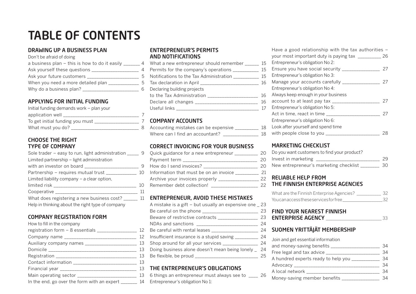## **TABLE OF CONTENTS**

#### DRAWING UP A BUSINESS PLAN

Don't be afraid of doing

| a business plan $-$ this is how to do it easily $\overline{\phantom{a}}$ |     |
|--------------------------------------------------------------------------|-----|
| Ask yourself these questions _                                           | 4   |
| Ask your future customers ___                                            | 5   |
| When you need a more detailed plan                                       | 5   |
| Why do a business plan?                                                  | ี่ค |

### APPLYING FOR INITIAL FUNDING

| Initial funding demands work – plan your |  |
|------------------------------------------|--|
| application well                         |  |
| To get initial funding you must          |  |
| What must you do?                        |  |

#### CHOOSE THE RIGHT TYPE OF COMPANY

| Sole trader – easy to run, light administration                                                                | 9  |
|----------------------------------------------------------------------------------------------------------------|----|
| Limited partnership – light administration                                                                     |    |
| with an investor on board ________________                                                                     | 9  |
| Partnership - requires mutual trust                                                                            | 10 |
| Limited liability company $-$ a clear option,                                                                  |    |
| limited risk and the state of the state of the state of the state of the state of the state of the state of th | 10 |
| Cooperative ___________                                                                                        | 11 |
| What does registering a new business cost?                                                                     | 11 |
| Help in thinking about the right type of company                                                               |    |

#### COMPANY REGISTRATION FORM How to fill in the company

| How to fill in the company                               |  |
|----------------------------------------------------------|--|
| registration form - 8 essentials ____________________ 12 |  |
| Company name _________________________________ 12        |  |
| Auxiliary company names __________________________ 13    |  |
|                                                          |  |
|                                                          |  |
|                                                          |  |
|                                                          |  |
|                                                          |  |
| In the end, go over the form with an expert ________ 14  |  |
|                                                          |  |

#### ENTREPRENEUR'S PERMITS AND NOTIFICATIONS

| What a new entrepreneur should remember        | 15 |
|------------------------------------------------|----|
| Permits for the company's operations           | 15 |
| Notifications to the Tax Administration        | 15 |
|                                                | 16 |
| Declaring building projects                    |    |
| to the Tax Administration ____________________ | 16 |
|                                                | 16 |
|                                                | 17 |
|                                                |    |

### 7 **COMPANY ACCOUNTS**

| Accounting mistakes can be expensive | 18  |
|--------------------------------------|-----|
| Where can I find an accountant?      | 18. |

#### CORRECT INVOICING FOR YOUR BUSINESS

| Quick guidance for a new entrepreneur _______ | 20. |
|-----------------------------------------------|-----|
|                                               | 20. |
| How do I send invoices?                       | 20  |
| Information that must be on an invoice        | 21. |
| Archive your invoices properly ___________    | 22. |
| Remember debt collection!                     |     |

### 11 **ENTREPRENEUR, AVOID THESE MISTAKES**

| A mistake is a gift $-$ but usually an expensive one $\_$ 23                                                   |     |
|----------------------------------------------------------------------------------------------------------------|-----|
| Be careful on the phone ________________________                                                               | 23  |
| Beware of restrictive contracts __________________                                                             | 23  |
| NDAs and sanctions _____________________________                                                               | 24  |
| Be careful with rental leases <b>contains the careful</b>                                                      | 24  |
| Insufficient insurance is a stupid saving                                                                      | 24  |
| Shop around for all your services ______________                                                               | 24  |
| Doing business alone doesn't mean being lonely _ 24                                                            |     |
| Be flexible, be proud states and the state of the state of the state of the state of the state of the state of | 25. |
|                                                                                                                |     |

#### THE ENTREPRENEUR'S OBLIGATIONS

6 things an entrepreneur must always see to \_\_\_\_ 26 Entrepreneur's obligation No 1:

| Have a good relationship with the tax authorities $-$ |    |
|-------------------------------------------------------|----|
| your most important duty is paying tax ________       | 26 |
| Entrepreneur's obligation No 2:                       |    |
| Ensure you have social security                       | 27 |
| Entrepreneur's obligation No 3:                       |    |
| Manage your accounts carefully                        | 27 |
| Entrepreneur's obligation No 4:                       |    |
| Always keep enough in your business                   |    |
| account to at least pay tax                           |    |
| Entrepreneur's obligation No 5:                       |    |
| Act in time, react in time                            | 27 |
| Entrepreneur's obligation No 6:                       |    |
| Look after yourself and spend time                    |    |
| with people close to you __                           |    |

### MARKETING CHECKLIST

| Do you want customers to find your product? |     |
|---------------------------------------------|-----|
| Invest in marketing                         | 29  |
| New entrepreneur's marketing checklist      | 30. |

#### RELIABLE HELP FROM THE FINNISH ENTERPRISE AGENCIES

| What are the Finnish Enterprise Agencies? | 32 |
|-------------------------------------------|----|
| Youcanaccesstheseservicesforfree          | 32 |

#### **BEIND YOUR NEAREST FINNISH** ENTERPRISE AGENCY 33

### SUOMEN YRITTÄJÄT MEMBERSHIP

| Join and get essential information                                                                             |    |
|----------------------------------------------------------------------------------------------------------------|----|
| and money-saving benefits                                                                                      | 34 |
| Free legal and tax advice ____________________                                                                 | 34 |
| A hundred experts ready to help you ___________                                                                | 34 |
|                                                                                                                | 34 |
| A local network and the state of the state of the state of the state of the state of the state of the state of | 34 |
| Money-saving member benefits ____________                                                                      | 34 |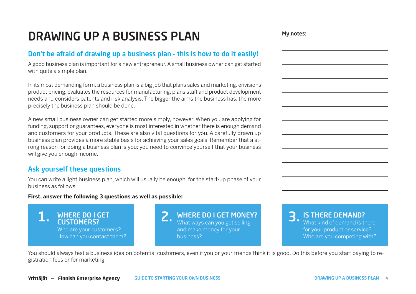## DRAWING UP A BUSINESS PLAN

## Don't be afraid of drawing up a business plan – this is how to do it easily!

A good business plan is important for a new entrepreneur. A small business owner can get started with quite a simple plan.

In its most demanding form, a business plan is a big job that plans sales and marketing, envisions product pricing, evaluates the resources for manufacturing, plans staff and product development needs and considers patents and risk analysis. The bigger the aims the business has, the more precisely the business plan should be done.

A new small business owner can get started more simply, however. When you are applying for funding, support or guarantees, everyone is most interested in whether there is enough demand and customers for your products. These are also vital questions for you. A carefully drawn up business plan provides a more stable basis for achieving your sales goals. Remember that a strong reason for doing a business plan is you: you need to convince yourself that your business will give you enough income.

## Ask yourself these questions

You can write a light business plan, which will usually be enough, for the start-up phase of your business as follows.

#### **First, answer the following 3 questions as well as possible:**

WHERE DO I GET CUSTOMERS? Who are your customers? How can you contact them?

**1.** WHERE DO I GET  $\sum_{\text{What ways can you get selling}}$  3. What ways can you get selling and make money for your business?

IS THERE DEMAND? What kind of demand is there

for your product or service? Who are you competing with?

You should always test a business idea on potential customers, even if you or your friends think it is good. Do this before you start paying to registration fees or for marketing.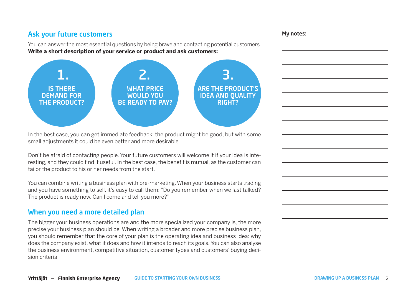## Ask your future customers

You can answer the most essential questions by being brave and contacting potential customers. **Write a short description of your service or product and ask customers:**



In the best case, you can get immediate feedback: the product might be good, but with some small adjustments it could be even better and more desirable.

Don't be afraid of contacting people. Your future customers will welcome it if your idea is interesting, and they could find it useful. In the best case, the benefit is mutual, as the customer can tailor the product to his or her needs from the start.

You can combine writing a business plan with pre-marketing. When your business starts trading and you have something to sell, it's easy to call them: "Do you remember when we last talked? The product is ready now. Can I come and tell you more?"

## When you need a more detailed plan

The bigger your business operations are and the more specialized your company is, the more precise your business plan should be. When writing a broader and more precise business plan, you should remember that the core of your plan is the operating idea and business idea: why does the company exist, what it does and how it intends to reach its goals. You can also analyse the business environment, competitive situation, customer types and customers' buying decision criteria.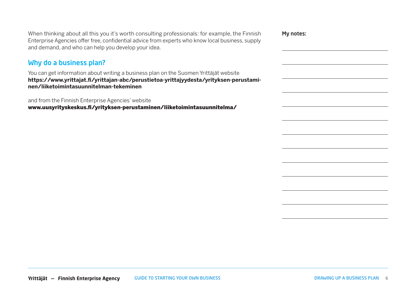When thinking about all this you it's worth consulting professionals: for example, the Finnish Enterprise Agencies offer free, confidential advice from experts who know local business, supply and demand, and who can help you develop your idea.

### Why do a business plan?

You can get information about writing a business plan on the Suomen Yrittäjät website **[https://www.yrittajat.fi/yrittajan-abc/perustietoa-yrittajyydesta/yrityksen-perustami](https://www.yrittajat.fi/yrittajan-abc/perustietoa-yrittajyydesta/yrityksen-perustaminen/liiketoimin)[nen/liiketoimintasuunnitelman-tekeminen](https://www.yrittajat.fi/yrittajan-abc/perustietoa-yrittajyydesta/yrityksen-perustaminen/liiketoimin)**

and from the Finnish Enterprise Agencies' website

[www.uusyrityskeskus.fi/yrityksen-perustaminen/liiketoimintasuunnitelma/](http://www.uusyrityskeskus.fi/yrityksen-perustaminen/liiketoimintasuunnitelma/)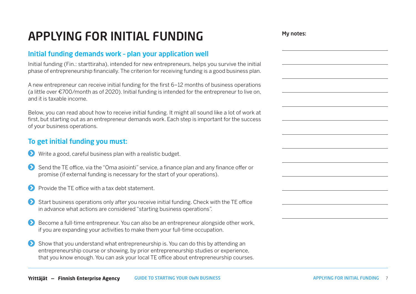## APPLYING FOR INITIAL FUNDING

## Initial funding demands work – plan your application well

Initial funding (Fin.: starttiraha), intended for new entrepreneurs, helps you survive the initial phase of entrepreneurship financially. The criterion for receiving funding is a good business plan.

A new entrepreneur can receive initial funding for the first 6–12 months of business operations (a little over €700/month as of 2020). Initial funding is intended for the entrepreneur to live on, and it is taxable income.

Below, you can read about how to receive initial funding. It might all sound like a lot of work at first, but starting out as an entrepreneur demands work. Each step is important for the success of your business operations.

## To get initial funding you must:

- Write a good, careful business plan with a realistic budget.
- Send the TE office, via the "Oma asiointi" service, a finance plan and any finance offer or promise (if external funding is necessary for the start of your operations).
- Provide the TE office with a tax debt statement.
- Start business operations only after you receive initial funding. Check with the TE office in advance what actions are considered "starting business operations".
- Become a full-time entrepreneur. You can also be an entrepreneur alongside other work, if you are expanding your activities to make them your full-time occupation.
- Show that you understand what entrepreneurship is. You can do this by attending an entrepreneurship course or showing, by prior entrepreneurship studies or experience, that you know enough. You can ask your local TE office about entrepreneurship courses.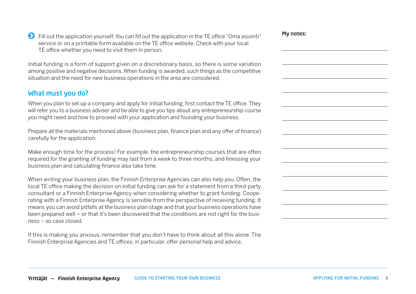**EX** Fill out the application yourself. You can fill out the application in the TE office "Oma asiointi" service or on a printable form available on the TE office website. Check with your local TE office whether you need to visit them in person.

Initial funding is a form of support given on a discretionary basis, so there is some variation among positive and negative decisions. When funding is awarded, such things as the competitive situation and the need for new business operations in the area are considered.

## What must you do?

When you plan to set up a company and apply for initial funding, first contact the TE office. They will refer you to a business adviser and be able to give you tips about any entrepreneurship course you might need and how to proceed with your application and founding your business.

Prepare all the materials mentioned above (business plan, finance plan and any offer of finance) carefully for the application.

Make enough time for the process! For example, the entrepreneurship courses that are often required for the granting of funding may last from a week to three months, and finessing your business plan and calculating finance also take time.

When writing your business plan, the Finnish Enterprise Agencies can also help you. Often, the local TE office making the decision on initial funding can ask for a statement from a third-party consultant or a Finnish Enterprise Agency when considering whether to grant funding. Cooperating with a Finnish Enterprise Agency is sensible from the perspective of receiving funding. It means you can avoid pitfalls at the business plan stage and that your business operations have been prepared well – or that it's been discovered that the conditions are not right for the business – so case closed.

If this is making you anxious, remember that you don't have to think about all this alone. The Finnish Enterprise Agencies and TE offices, in particular, offer personal help and advice.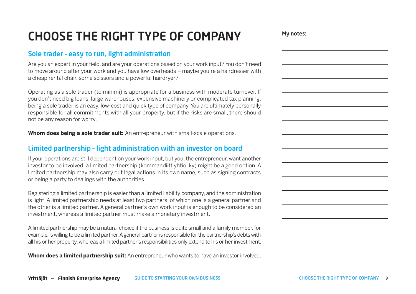## CHOOSE THE RIGHT TYPE OF COMPANY

## Sole trader – easy to run, light administration

Are you an expert in your field, and are your operations based on your work input? You don't need to move around after your work and you have low overheads – maybe you're a hairdresser with a cheap rental chair, some scissors and a powerful hairdryer?

Operating as a sole trader (toiminimi) is appropriate for a business with moderate turnover. If you don't need big loans, large warehouses, expensive machinery or complicated tax planning, being a sole trader is an easy, low-cost and quick type of company. You are ultimately personally responsible for all commitments with all your property, but if the risks are small, there should not be any reason for worry.

**Whom does being a sole trader suit:** An entrepreneur with small-scale operations.

## Limited partnership – light administration with an investor on board

If your operations are still dependent on your work input, but you, the entrepreneur, want another investor to be involved, a limited partnership (kommandiittiyhtiö, ky) might be a good option. A limited partnership may also carry out legal actions in its own name, such as signing contracts or being a party to dealings with the authorities.

Registering a limited partnership is easier than a limited liability company, and the administration is light. A limited partnership needs at least two partners, of which one is a general partner and the other is a limited partner. A general partner's own work input is enough to be considered an investment, whereas a limited partner must make a monetary investment.

A limited partnership may be a natural choice if the business is quite small and a family member, for example, is willing to be a limited partner. A general partner is responsible for the partnership's debts with all his or her property, whereas a limited partner's responsibilities only extend to his or her investment.

**Whom does a limited partnership suit:** An entrepreneur who wants to have an investor involved.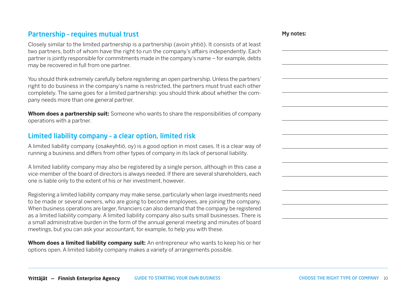## Partnership – requires mutual trust

Closely similar to the limited partnership is a partnership (avoin yhtiö). It consists of at least two partners, both of whom have the right to run the company's affairs independently. Each partner is jointly responsible for commitments made in the company's name – for example, debts may be recovered in full from one partner.

You should think extremely carefully before registering an open partnership. Unless the partners' right to do business in the company's name is restricted, the partners must trust each other completely. The same goes for a limited partnership: you should think about whether the company needs more than one general partner.

**Whom does a partnership suit:** Someone who wants to share the responsibilities of company operations with a partner.

## Limited liability company – a clear option, limited risk

A limited liability company (osakeyhtiö, oy) is a good option in most cases. It is a clear way of running a business and differs from other types of company in its lack of personal liability.

A limited liability company may also be registered by a single person, although in this case a vice-member of the board of directors is always needed. If there are several shareholders, each one is liable only to the extent of his or her investment, however.

Registering a limited liability company may make sense, particularly when large investments need to be made or several owners, who are going to become employees, are joining the company. When business operations are larger, financiers can also demand that the company be registered as a limited liability company. A limited liability company also suits small businesses. There is a small administrative burden in the form of the annual general meeting and minutes of board meetings, but you can ask your accountant, for example, to help you with these.

**Whom does a limited liability company suit:** An entrepreneur who wants to keep his or her options open. A limited liability company makes a variety of arrangements possible.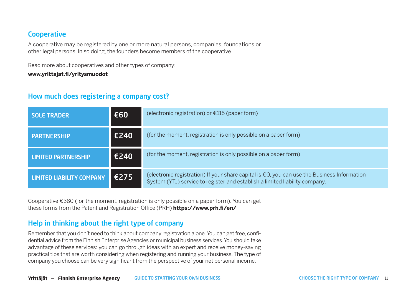## **Cooperative**

A cooperative may be registered by one or more natural persons, companies, foundations or other legal persons. In so doing, the founders become members of the cooperative.

Read more about cooperatives and other types of company: **[www.yrittajat.fi/yritysmuodot](http://www.yrittajat.fi/yritysmuodot)**

## How much does registering a company cost?

| <b>SOLE TRADER</b>               | €60  | (electronic registration) or $E115$ (paper form)                                                                                                                                     |
|----------------------------------|------|--------------------------------------------------------------------------------------------------------------------------------------------------------------------------------------|
| <b>PARTNERSHIP</b>               | €240 | (for the moment, registration is only possible on a paper form)                                                                                                                      |
| <b>LIMITED PARTNERSHIP</b>       | €240 | (for the moment, registration is only possible on a paper form)                                                                                                                      |
| <b>LIMITED LIABILITY COMPANY</b> | €275 | (electronic registration) If your share capital is $\epsilon$ 0, you can use the Business Information<br>System (YTJ) service to register and establish a limited liability company. |

Cooperative €380 (for the moment, registration is only possible on a paper form). You can get these forms from the Patent and Registration Office (PRH) **https://www.prh.fi/en/**

## Help in thinking about the right type of company

Remember that you don't need to think about company registration alone. You can get free, confidential advice from the Finnish Enterprise Agencies or municipal business services. You should take advantage of these services: you can go through ideas with an expert and receive money-saving practical tips that are worth considering when registering and running your business. The type of company you choose can be very significant from the perspective of your net personal income.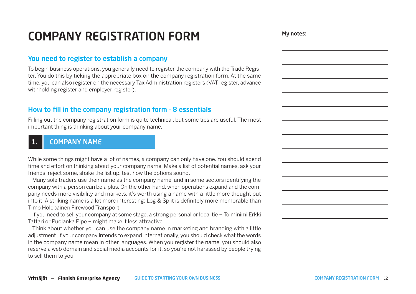## COMPANY REGISTRATION FORM

## You need to register to establish a company

To begin business operations, you generally need to register the company with the Trade Register. You do this by ticking the appropriate box on the company registration form. At the same time, you can also register on the necessary Tax Administration registers (VAT register, advance withholding register and employer register).

## How to fill in the company registration form – 8 essentials

Filling out the company registration form is quite technical, but some tips are useful. The most important thing is thinking about your company name.

## 1. COMPANY NAME

While some things might have a lot of names, a company can only have one. You should spend time and effort on thinking about your company name. Make a list of potential names, ask your friends, reject some, shake the list up, test how the options sound.

Many sole traders use their name as the company name, and in some sectors identifying the company with a person can be a plus. On the other hand, when operations expand and the company needs more visibility and markets, it's worth using a name with a little more thought put into it. A striking name is a lot more interesting: Log & Split is definitely more memorable than Timo Holopainen Firewood Transport.

If you need to sell your company at some stage, a strong personal or local tie – Toiminimi Erkki Tattari or Puolanka Pipe – might make it less attractive.

Think about whether you can use the company name in marketing and branding with a little adjustment. If your company intends to expand internationally, you should check what the words in the company name mean in other languages. When you register the name, you should also reserve a web domain and social media accounts for it, so you're not harassed by people trying to sell them to you.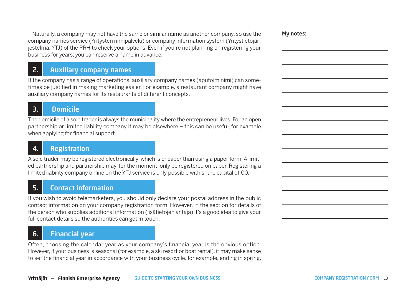Naturally, a company may not have the same or similar name as another company, so use the company names service (Yritysten nimipalvelu) or company information system (Yritystietojärjestelmä, YTJ) of the PRH to check your options. Even if you're not planning on registering your business for years, you can reserve a name in advance.

My notes:

## 2. Auxiliary company names

If the company has a range of operations, auxiliary company names (aputoiminimi) can sometimes be justified in making marketing easier. For example, a restaurant company might have auxiliary company names for its restaurants of different concepts.

## 3. Domicile

The domicile of a sole trader is always the municipality where the entrepreneur lives. For an open partnership or limited liability company it may be elsewhere – this can be useful, for example when applying for financial support.

## 4. Registration

A sole trader may be registered electronically, which is cheaper than using a paper form. A limited partnership and partnership may, for the moment, only be registered on paper. Registering a limited liability company online on the YTJ service is only possible with share capital of €0.

## 5. Contact information

If you wish to avoid telemarketers, you should only declare your postal address in the public contact information on your company registration form. However, in the section for details of the person who supplies additional information (lisätietojen antaja) it's a good idea to give your full contact details so the authorities can get in touch.

## 6. Financial year

Often, choosing the calendar year as your company's financial year is the obvious option. However, if your business is seasonal (for example, a ski resort or boat rental), it may make sense to set the financial year in accordance with your business cycle, for example, ending in spring,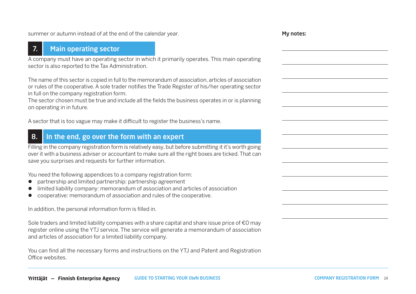summer or autumn instead of at the end of the calendar year.

## 7. Main operating sector

A company must have an operating sector in which it primarily operates. This main operating sector is also reported to the Tax Administration.

The name of this sector is copied in full to the memorandum of association, articles of association or rules of the cooperative. A sole trader notifies the Trade Register of his/her operating sector in full on the company registration form.

The sector chosen must be true and include all the fields the business operates in or is planning on operating in in future.

A sector that is too vague may make it difficult to register the business's name.

## 8. In the end, go over the form with an expert

Filling in the company registration form is relatively easy, but before submitting it it's worth going over it with a business adviser or accountant to make sure all the right boxes are ticked. That can save you surprises and requests for further information.

You need the following appendices to a company registration form:

- partnership and limited partnership: partnership agreement
- limited liability company: memorandum of association and articles of association
- l cooperative: memorandum of association and rules of the cooperative.

In addition, the personal information form is filled in.

Sole traders and limited liability companies with a share capital and share issue price of €0 may register online using the YTJ service. The service will generate a memorandum of association and articles of association for a limited liability company.

You can find all the necessary forms and instructions on the YTJ and Patent and Registration Office websites.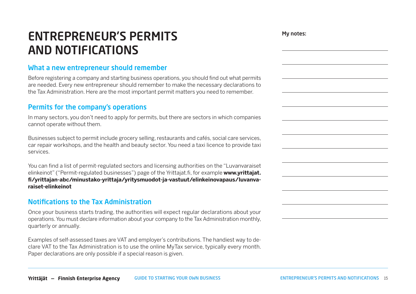## ENTREPRENEUR'S PERMITS AND NOTIFICATIONS

## What a new entrepreneur should remember

Before registering a company and starting business operations, you should find out what permits are needed. Every new entrepreneur should remember to make the necessary declarations to the Tax Administration. Here are the most important permit matters you need to remember.

## Permits for the company's operations

In many sectors, you don't need to apply for permits, but there are sectors in which companies cannot operate without them.

Businesses subject to permit include grocery selling, restaurants and cafés, social care services, car repair workshops, and the health and beauty sector. You need a taxi licence to provide taxi services.

You can find a list of permit-regulated sectors and licensing authorities on the "Luvanvaraiset elinkeinot" ("Permit-regulated businesses") page of the Yrittajat.fi, for example **[www.yrittajat.](https://www.yrittajat.fi/yrittajan-abc/minustako-yrittaja/yritysmuodot-ja-vastuut/elinkeinovapaus/luvanvaraiset-elinkeinot) [fi/yrittajan-abc/minustako-yrittaja/yritysmuodot-ja-vastuut/elinkeinovapaus/luvanva](https://www.yrittajat.fi/yrittajan-abc/minustako-yrittaja/yritysmuodot-ja-vastuut/elinkeinovapaus/luvanvaraiset-elinkeinot)[raiset-elinkeinot](https://www.yrittajat.fi/yrittajan-abc/minustako-yrittaja/yritysmuodot-ja-vastuut/elinkeinovapaus/luvanvaraiset-elinkeinot)**

## Notifications to the Tax Administration

Once your business starts trading, the authorities will expect regular declarations about your operations. You must declare information about your company to the Tax Administration monthly, quarterly or annually.

Examples of self-assessed taxes are VAT and employer's contributions. The handiest way to declare VAT to the Tax Administration is to use the online MyTax service, typically every month. Paper declarations are only possible if a special reason is given.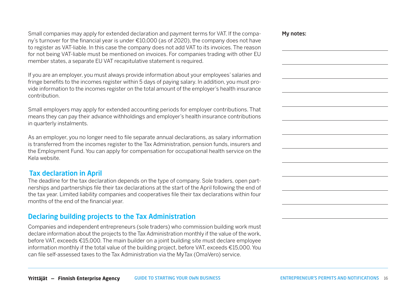Small companies may apply for extended declaration and payment terms for VAT. If the company's turnover for the financial year is under €10,000 (as of 2020), the company does not have to register as VAT-liable. In this case the company does not add VAT to its invoices. The reason for not being VAT-liable must be mentioned on invoices. For companies trading with other EU member states, a separate EU VAT recapitulative statement is required.

If you are an employer, you must always provide information about your employees' salaries and fringe benefits to the incomes register within 5 days of paying salary. In addition, you must provide information to the incomes register on the total amount of the employer's health insurance contribution.

Small employers may apply for extended accounting periods for employer contributions. That means they can pay their advance withholdings and employer's health insurance contributions in quarterly instalments.

As an employer, you no longer need to file separate annual declarations, as salary information is transferred from the incomes register to the Tax Administration, pension funds, insurers and the Employment Fund. You can apply for compensation for occupational health service on the Kela website.

## Tax declaration in April

The deadline for the tax declaration depends on the type of company. Sole traders, open partnerships and partnerships file their tax declarations at the start of the April following the end of the tax year. Limited liability companies and cooperatives file their tax declarations within four months of the end of the financial year.

## Declaring building projects to the Tax Administration

Companies and independent entrepreneurs (sole traders) who commission building work must declare information about the projects to the Tax Administration monthly if the value of the work, before VAT, exceeds €15,000. The main builder on a joint building site must declare employee information monthly if the total value of the building project, before VAT, exceeds €15,000. You can file self-assessed taxes to the Tax Administration via the MyTax (OmaVero) service.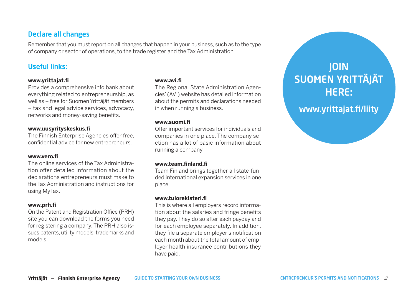## Declare all changes

Remember that you must report on all changes that happen in your business, such as to the type of company or sector of operations, to the trade register and the Tax Administration.

## Useful links:

#### **[www.yrittajat.fi](http://www.yrittajat.fi)**

Provides a comprehensive info bank about everything related to entrepreneurship, as well as – free for Suomen Yrittäjät members – tax and legal advice services, advocacy, networks and money-saving benefits.

#### **[www.uusyrityskeskus.fi](http://www.uusyrityskeskus.fi)**

The Finnish Enterprise Agencies offer free, confidential advice for new entrepreneurs.

#### **[www.vero.fi](http://www.vero.fi)**

The online services of the Tax Administration offer detailed information about the declarations entrepreneurs must make to the Tax Administration and instructions for using MyTax.

#### **[www.prh.fi](http://www.prh.fi)**

On the Patent and Registration Office (PRH) site you can download the forms you need for registering a company. The PRH also issues patents, utility models, trademarks and models.

#### **[www.avi.fi](http://www.avi.fi)**

The Regional State Administration Agencies' (AVI) website has detailed information about the permits and declarations needed in when running a business.

#### **[www.suomi.fi](http://www.suomi.fi)**

Offer important services for individuals and companies in one place. The company section has a lot of basic information about running a company.

#### **[www.team.finland.fi](http://www.team.finland.fi)**

Team Finland brings together all state-funded international expansion services in one place.

#### **www.tulorekisteri.fi**

This is where all employers record information about the salaries and fringe benefits they pay. They do so after each payday and for each employee separately. In addition, they file a separate employer's notification each month about the total amount of employer health insurance contributions they have paid.

## JOIN [SUOMEN YRITTÄJÄT](http://www.yrittajat.fi/liity)  HERE:

www.yrittajat.fi/liity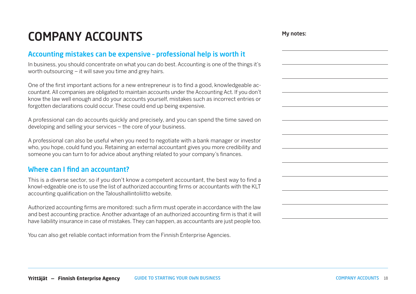## COMPANY ACCOUNTS

### Accounting mistakes can be expensive – professional help is worth it

In business, you should concentrate on what you can do best. Accounting is one of the things it's worth outsourcing – it will save you time and grey hairs.

One of the first important actions for a new entrepreneur is to find a good, knowledgeable accountant. All companies are obligated to maintain accounts under the Accounting Act. If you don't know the law well enough and do your accounts yourself, mistakes such as incorrect entries or forgotten declarations could occur. These could end up being expensive.

A professional can do accounts quickly and precisely, and you can spend the time saved on developing and selling your services – the core of your business.

A professional can also be useful when you need to negotiate with a bank manager or investor who, you hope, could fund you. Retaining an external accountant gives you more credibility and someone you can turn to for advice about anything related to your company's finances.

## Where can I find an accountant?

This is a diverse sector, so if you don't know a competent accountant, the best way to find a knowl-edgeable one is to use the list of authorized accounting firms or accountants with the KLT accounting qualification on the Taloushallintoliitto website.

Authorized accounting firms are monitored: such a firm must operate in accordance with the law and best accounting practice. Another advantage of an authorized accounting firm is that it will have liability insurance in case of mistakes. They can happen, as accountants are just people too.

You can also get reliable contact information from the Finnish Enterprise Agencies.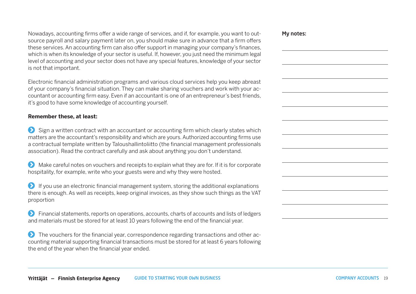Nowadays, accounting firms offer a wide range of services, and if, for example, you want to outsource payroll and salary payment later on, you should make sure in advance that a firm offers these services. An accounting firm can also offer support in managing your company's finances, which is when its knowledge of your sector is useful. If, however, you just need the minimum legal level of accounting and your sector does not have any special features, knowledge of your sector is not that important.

Electronic financial administration programs and various cloud services help you keep abreast of your company's financial situation. They can make sharing vouchers and work with your accountant or accounting firm easy. Even if an accountant is one of an entrepreneur's best friends, it's good to have some knowledge of accounting yourself.

#### **Remember these, at least:**

 $\bullet$  Sign a written contract with an accountant or accounting firm which clearly states which matters are the accountant's responsibility and which are yours. Authorized accounting firms use a contractual template written by Taloushallintoliitto (the financial management professionals association). Read the contract carefully and ask about anything you don't understand.

 $\bullet$  Make careful notes on vouchers and receipts to explain what they are for. If it is for corporate hospitality, for example, write who your guests were and why they were hosted.

 $\bullet$  If you use an electronic financial management system, storing the additional explanations there is enough. As well as receipts, keep original invoices, as they show such things as the VAT proportion

 Financial statements, reports on operations, accounts, charts of accounts and lists of ledgers and materials must be stored for at least 10 years following the end of the financial year.

The vouchers for the financial year, correspondence regarding transactions and other accounting material supporting financial transactions must be stored for at least 6 years following the end of the year when the financial year ended.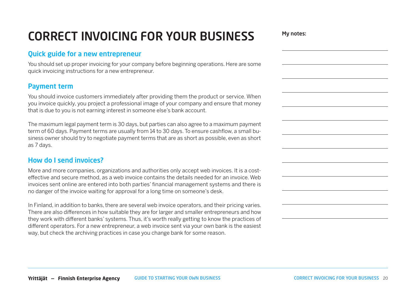## CORRECT INVOICING FOR YOUR BUSINESS

## Quick guide for a new entrepreneur

You should set up proper invoicing for your company before beginning operations. Here are some quick invoicing instructions for a new entrepreneur.

## Payment term

You should invoice customers immediately after providing them the product or service. When you invoice quickly, you project a professional image of your company and ensure that money that is due to you is not earning interest in someone else's bank account.

The maximum legal payment term is 30 days, but parties can also agree to a maximum payment term of 60 days. Payment terms are usually from 14 to 30 days. To ensure cashflow, a small business owner should try to negotiate payment terms that are as short as possible, even as short as 7 days.

## How do I send invoices?

More and more companies, organizations and authorities only accept web invoices. It is a costeffective and secure method, as a web invoice contains the details needed for an invoice. Web invoices sent online are entered into both parties' financial management systems and there is no danger of the invoice waiting for approval for a long time on someone's desk.

In Finland, in addition to banks, there are several web invoice operators, and their pricing varies. There are also differences in how suitable they are for larger and smaller entrepreneurs and how they work with different banks' systems. Thus, it's worth really getting to know the practices of different operators. For a new entrepreneur, a web invoice sent via your own bank is the easiest way, but check the archiving practices in case you change bank for some reason.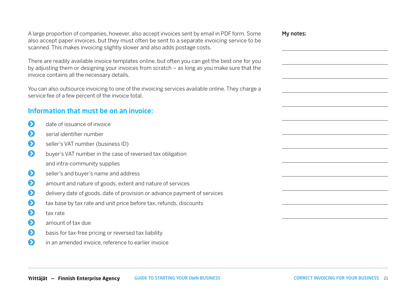A large proportion of companies, however, also accept invoices sent by email in PDF form. Some also accept paper invoices, but they must often be sent to a separate invoicing service to be scanned. This makes invoicing slightly slower and also adds postage costs.

There are readily available invoice templates online, but often you can get the best one for you by adjusting them or designing your invoices from scratch – as long as you make sure that the invoice contains all the necessary details.

You can also outsource invoicing to one of the invoicing services available online. They charge a service fee of a few percent of the invoice total.

## Information that must be on an invoice:

- date of issuance of invoice
- serial identifier number
- seller's VAT number (business ID)
- **buyer's VAT number in the case of reversed tax obligation** and intra-community supplies
- seller's and buver's name and address
- **8** amount and nature of goods, extent and nature of services
- delivery date of goods, date of provision or advance payment of services
- $\bullet$  tax base by tax rate and unit price before tax, refunds, discounts
- $\bigcirc$  tax rate
- **amount of tax due**
- **b** basis for tax-free pricing or reversed tax liability
- **1** in an amended invoice, reference to earlier invoice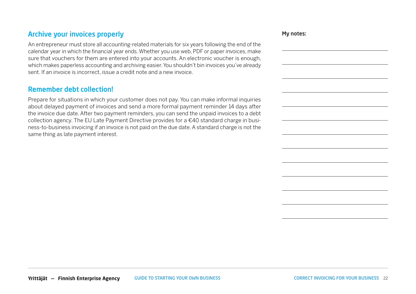## Archive your invoices properly

### Remember debt collection!

Prepare for situations in which your customer does not pay. You can make informal inquiries about delayed payment of invoices and send a more formal payment reminder 14 days after the invoice due date. After two payment reminders, you can send the unpaid invoices to a debt collection agency. The EU Late Payment Directive provides for a €40 standard charge in business-to-business invoicing if an invoice is not paid on the due date. A standard charge is not the same thing as late payment interest.

An entrepreneur must store all accounting-related materials for six years following the end of the calendar year in which the financial year ends. Whether you use web, PDF or paper invoices, make sure that vouchers for them are entered into your accounts. An electronic voucher is enough, which makes paperless accounting and archiving easier. You shouldn't bin invoices you've already sent. If an invoice is incorrect, issue a credit note and a new invoice.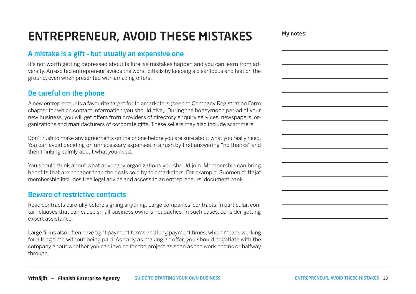## ENTREPRENEUR, AVOID THESE MISTAKES

## A mistake is a gift – but usually an expensive one

It's not worth getting depressed about failure, as mistakes happen and you can learn from adversity. An excited entrepreneur avoids the worst pitfalls by keeping a clear focus and feet on the ground, even when presented with amazing offers.

## Be careful on the phone

A new entrepreneur is a favourite target for telemarketers (see the Company Registration Form chapter for which contact information you should give). During the honeymoon period of your new business, you will get offers from providers of directory enquiry services, newspapers, organizations and manufacturers of corporate gifts. These sellers may also include scammers.

Don't rush to make any agreements on the phone before you are sure about what you really need. You can avoid deciding on unnecessary expenses in a rush by first answering "no thanks" and then thinking calmly about what you need.

You should think about what advocacy organizations you should join. Membership can bring benefits that are cheaper than the deals sold by telemarketers. For example, Suomen Yrittäjät membership includes free legal advice and access to an entrepreneurs' document bank.

### Beware of restrictive contracts

Read contracts carefully before signing anything. Large companies' contracts, in particular, contain clauses that can cause small business owners headaches. In such cases, consider getting expert assistance.

Large firms also often have tight payment terms and long payment times, which means working for a long time without being paid. As early as making an offer, you should negotiate with the company about whether you can invoice for the project as soon as the work begins or halfway through.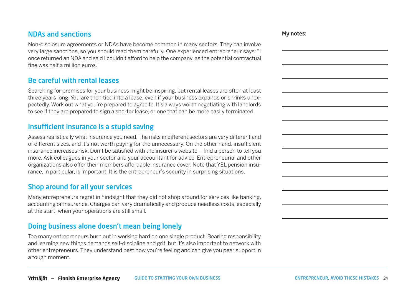## NDAs and sanctions

Non-disclosure agreements or NDAs have become common in many sectors. They can involve very large sanctions, so you should read them carefully. One experienced entrepreneur says: "I once returned an NDA and said I couldn't afford to help the company, as the potential contractual fine was half a million euros."

## Be careful with rental leases

Searching for premises for your business might be inspiring, but rental leases are often at least three years long. You are then tied into a lease, even if your business expands or shrinks unexpectedly. Work out what you're prepared to agree to. It's always worth negotiating with landlords to see if they are prepared to sign a shorter lease, or one that can be more easily terminated.

## Insufficient insurance is a stupid saving

Assess realistically what insurance you need. The risks in different sectors are very different and of different sizes, and it's not worth paying for the unnecessary. On the other hand, insufficient insurance increases risk. Don't be satisfied with the insurer's website – find a person to tell you more. Ask colleagues in your sector and your accountant for advice. Entrepreneurial and other organizations also offer their members affordable insurance cover. Note that YEL pension insurance, in particular, is important. It is the entrepreneur's security in surprising situations.

## Shop around for all your services

Many entrepreneurs regret in hindsight that they did not shop around for services like banking, accounting or insurance. Charges can vary dramatically and produce needless costs, especially at the start, when your operations are still small.

## Doing business alone doesn't mean being lonely

Too many entrepreneurs burn out in working hard on one single product. Bearing responsibility and learning new things demands self-discipline and grit, but it's also important to network with other entrepreneurs. They understand best how you're feeling and can give you peer support in a tough moment.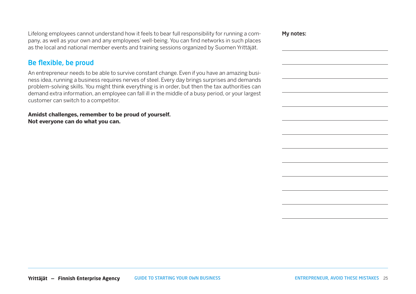Lifelong employees cannot understand how it feels to bear full responsibility for running a company, as well as your own and any employees' well-being. You can find networks in such places as the local and national member events and training sessions organized by Suomen Yrittäjät.

## Be flexible, be proud

An entrepreneur needs to be able to survive constant change. Even if you have an amazing business idea, running a business requires nerves of steel. Every day brings surprises and demands problem-solving skills. You might think everything is in order, but then the tax authorities can demand extra information, an employee can fall ill in the middle of a busy period, or your largest customer can switch to a competitor.

**Amidst challenges, remember to be proud of yourself. Not everyone can do what you can.**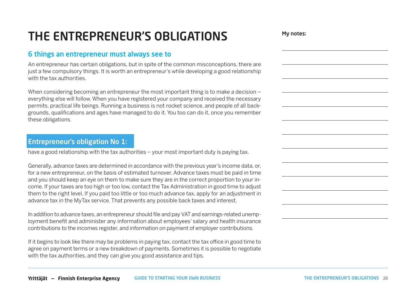## THE ENTREPRENEUR'S OBLIGATIONS

## 6 things an entrepreneur must always see to

An entrepreneur has certain obligations, but in spite of the common misconceptions, there are just a few compulsory things. It is worth an entrepreneur's while developing a good relationship with the tax authorities.

When considering becoming an entrepreneur the most important thing is to make a decision – everything else will follow. When you have registered your company and received the necessary permits, practical life beings. Running a business is not rocket science, and people of all backgrounds, qualifications and ages have managed to do it. You too can do it, once you remember these obligations.

## Entrepreneur's obligation No 1:

have a good relationship with the tax authorities – your most important duty is paying tax.

Generally, advance taxes are determined in accordance with the previous year's income data, or, for a new entrepreneur, on the basis of estimated turnover. Advance taxes must be paid in time and you should keep an eye on them to make sure they are in the correct proportion to your income. If your taxes are too high or too low, contact the Tax Administration in good time to adjust them to the right level. If you paid too little or too much advance tax, apply for an adjustment in advance tax in the MyTax service. That prevents any possible back taxes and interest.

In addition to advance taxes, an entrepreneur should file and pay VAT and earnings-related unemployment benefit and administer any information about employees' salary and health insurance contributions to the incomes register, and information on payment of employer contributions.

If it begins to look like there may be problems in paying tax, contact the tax office in good time to agree on payment terms or a new breakdown of payments. Sometimes it is possible to negotiate with the tax authorities, and they can give you good assistance and tips.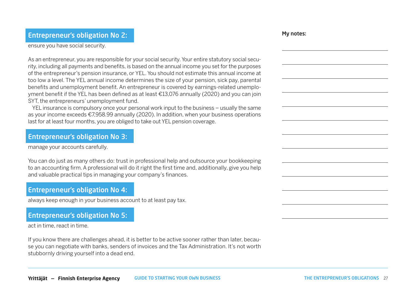### Entrepreneur's obligation No 2:

ensure you have social security.

As an entrepreneur, you are responsible for your social security. Your entire statutory social security, including all payments and benefits, is based on the annual income you set for the purposes of the entrepreneur's pension insurance, or YEL. You should not estimate this annual income at too low a level. The YEL annual income determines the size of your pension, sick pay, parental benefits and unemployment benefit. An entrepreneur is covered by earnings-related unemployment benefit if the YEL has been defined as at least €13,076 annually (2020) and you can join SYT, the entrepreneurs' unemployment fund.

YEL insurance is compulsory once your personal work input to the business – usually the same as your income exceeds €7,958.99 annually (2020). In addition, when your business operations last for at least four months, you are obliged to take out YEL pension coverage.

### Entrepreneur's obligation No 3:

manage your accounts carefully.

You can do just as many others do: trust in professional help and outsource your bookkeeping to an accounting firm. A professional will do it right the first time and, additionally, give you help and valuable practical tips in managing your company's finances.

### Entrepreneur's obligation No 4:

always keep enough in your business account to at least pay tax.

## Entrepreneur's obligation No 5:

act in time, react in time.

If you know there are challenges ahead, it is better to be active sooner rather than later, because you can negotiate with banks, senders of invoices and the Tax Administration. It's not worth stubbornly driving yourself into a dead end.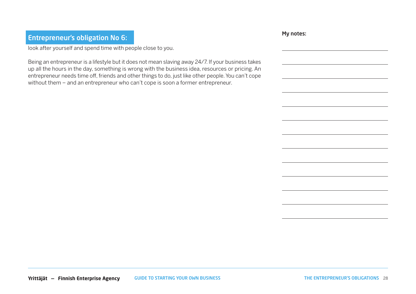## Entrepreneur's obligation No 6:

look after yourself and spend time with people close to you.

Being an entrepreneur is a lifestyle but it does not mean slaving away 24/7. If your business takes up all the hours in the day, something is wrong with the business idea, resources or pricing. An entrepreneur needs time off, friends and other things to do, just like other people. You can't cope without them – and an entrepreneur who can't cope is soon a former entrepreneur.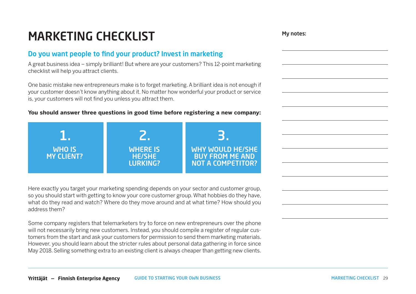## MARKETING CHECKLIST

### Do you want people to find your product? Invest in marketing

A great business idea – simply brilliant! But where are your customers? This 12-point marketing checklist will help you attract clients.

One basic mistake new entrepreneurs make is to forget marketing. A brilliant idea is not enough if your customer doesn't know anything about it. No matter how wonderful your product or service is, your customers will not find you unless you attract them.

#### **You should answer three questions in good time before registering a new company:**



Here exactly you target your marketing spending depends on your sector and customer group, so you should start with getting to know your core customer group. What hobbies do they have, what do they read and watch? Where do they move around and at what time? How should you address them?

Some company registers that telemarketers try to force on new entrepreneurs over the phone will not necessarily bring new customers. Instead, you should compile a register of regular customers from the start and ask your customers for permission to send them marketing materials. However, you should learn about the stricter rules about personal data gathering in force since May 2018. Selling something extra to an existing client is always cheaper than getting new clients.

GUIDE TO STARTING YOUR OWN BUSINESS 29 **Yrittäjät — Finnish Enterprise Agency**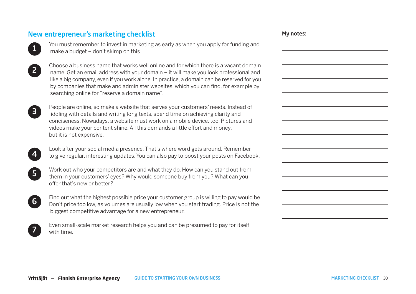## New entrepreneur's marketing checklist



You must remember to invest in marketing as early as when you apply for funding and make a budget – don't skimp on this.



Choose a business name that works well online and for which there is a vacant domain name. Get an email address with your domain – it will make you look professional and like a big company, even if you work alone. In practice, a domain can be reserved for you by companies that make and administer websites, which you can find, for example by searching online for "reserve a domain name".



People are online, so make a website that serves your customers' needs. Instead of fiddling with details and writing long texts, spend time on achieving clarity and conciseness. Nowadays, a website must work on a mobile device, too. Pictures and videos make your content shine. All this demands a little effort and money, but it is not expensive.



Look after your social media presence. That's where word gets around. Remember to give regular, interesting updates. You can also pay to boost your posts on Facebook.



Work out who your competitors are and what they do. How can you stand out from them in your customers' eyes? Why would someone buy from you? What can you offer that's new or better?

Find out what the highest possible price your customer group is willing to pay would be. Don't price too low, as volumes are usually low when you start trading. Price is not the biggest competitive advantage for a new entrepreneur.

Even small-scale market research helps you and can be presumed to pay for itself with time.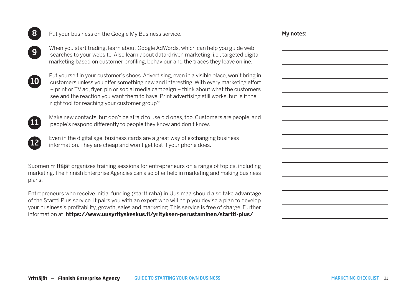| 8                        | Put your business on the Google My Business service.                                                                                                                                                                                                                                                                                                                                                                       | My notes: |
|--------------------------|----------------------------------------------------------------------------------------------------------------------------------------------------------------------------------------------------------------------------------------------------------------------------------------------------------------------------------------------------------------------------------------------------------------------------|-----------|
| 9                        | When you start trading, learn about Google AdWords, which can help you guide web<br>searches to your website. Also learn about data-driven marketing, i.e., targeted digital<br>marketing based on customer profiling, behaviour and the traces they leave online.                                                                                                                                                         |           |
| $\overline{\mathbf{10}}$ | Put yourself in your customer's shoes. Advertising, even in a visible place, won't bring in<br>customers unless you offer something new and interesting. With every marketing effort<br>- print or TV ad, flyer, pin or social media campaign - think about what the customers<br>see and the reaction you want them to have. Print advertising still works, but is it the<br>right tool for reaching your customer group? |           |
| $\overline{11}$          | Make new contacts, but don't be afraid to use old ones, too. Customers are people, and<br>people's respond differently to people they know and don't know.                                                                                                                                                                                                                                                                 |           |
| 【12                      | Even in the digital age, business cards are a great way of exchanging business<br>information. They are cheap and won't get lost if your phone does.                                                                                                                                                                                                                                                                       |           |
| plans.                   | Suomen Yrittäjät organizes training sessions for entrepreneurs on a range of topics, including<br>marketing. The Finnish Enterprise Agencies can also offer help in marketing and making business                                                                                                                                                                                                                          |           |
|                          | Entrepreneurs who receive initial funding (starttiraha) in Uusimaa should also take advantage<br>of the Startti Plus service. It pairs you with an expert who will help you devise a plan to develop<br>your business's profitability, growth, sales and marketing. This service is free of charge. Further<br>information at https://www.uusyrityskeskus.fi/yrityksen-perustaminen/startti-plus/                          |           |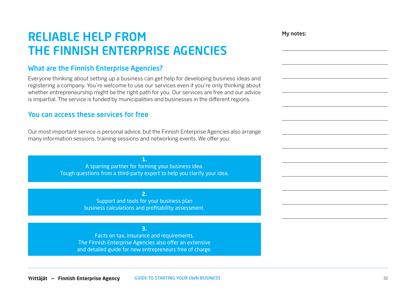## RELIABLE HELP FROM THE FINNISH ENTERPRISE AGENCIES

## What are the Finnish Enterprise Agencies?

Everyone thinking about setting up a business can get help for developing business ideas and registering a company. You're welcome to use our services even if you're only thinking about whether entrepreneurship might be the right path for you. Our services are free and our advice is impartial. The service is funded by municipalities and businesses in the different regions.

### You can access these services for free

Our most important service is personal advice, but the Finnish Enterprise Agencies also arrange many information sessions, training sessions and networking events. We offer you:

> A sparring partner for forming your business idea. Tough questions from a third-party expert to help you clarify your idea.

**1.**

Support and tools for your business plan business calculations and profitability assessment.

**2.** 

**3.** 

Facts on tax, insurance and requirements. The Finnish Enterprise Agencies also offer an extensive and detailed guide for new entrepreneurs free of charge.

GUIDE TO STARTING YOUR OWN BUSINESS 32 **Yrittäjät — Finnish Enterprise Agency**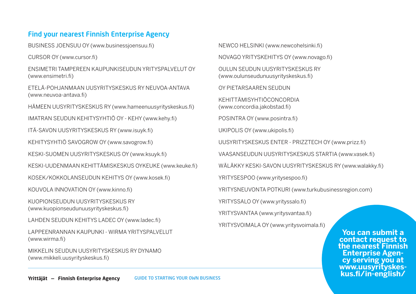## Find your nearest Finnish Enterprise Agency

BUSINESS JOENSUU OY [\(www.businessjoensuu.fi\)](http://www.businessjoensuu.fi)

CURSOR OY [\(www.cursor.fi\)](http://www.cursor.fi)

ENSIMETRI TAMPEREEN KAUPUNKISEUDUN YRITYSPALVELUT OY [\(www.ensimetri.fi\)](http://www.ensimetri.fi)

ETELÄ-POHJANMAAN UUSYRITYSKESKUS RY NEUVOA-ANTAVA [\(www.neuvoa-antava.fi](http://www.neuvoa-antava.fi))

HÄMEEN UUSYRITYSKESKUS RY ([www.hameenuusyrityskeskus.fi\)](http://www.hameenuusyrityskeskus.fi)

IMATRAN SEUDUN KEHITYSYHTIÖ OY - KEHY [\(www.kehy.fi](http://www.kehy.fi))

ITÄ-SAVON UUSYRITYSKESKUS RY [\(www.isuyk.fi\)](http://(www.isuyk.fi)

KEHITYSYHTIÖ SAVOGROW OY ([www.savogrow.fi](http://www.savogrow.fi))

KESKI-SUOMEN UUSYRITYSKESKUS OY [\(www.ksuyk.fi](http://www.ksuyk.fi))

KESKI-UUDENMAAN KEHITTÄMISKESKUS OYKEUKE [\(www.keuke.fi](http://www.keuke.fi))

KOSEK/KOKKOLANSEUDUN KEHITYS OY [\(www.kosek.fi\)](http://www.kosek.fi)

KOUVOLA INNOVATION OY [\(www.kinno.fi](http://(www.kinno.fi))

KUOPIONSEUDUN UUSYRITYSKESKUS RY [\(www.kuopionseudunuusyrityskeskus.fi\)](http://www.kuopionseudunuusyrityskeskus.fi))

LAHDEN SEUDUN KEHITYS LADEC OY ([www.ladec.fi\)](http://www.ladec.fi)

LAPPEENRANNAN KAUPUNKI - WIRMA YRITYSPALVELUT [\(www.wirma.fi\)](http://www.wirma.fi)

MIKKELIN SEUDUN UUSYRITYSKESKUS RY DYNAMO [\(www.mikkeli.uusyrityskeskus.fi](http://www.mikkeli.uusyrityskeskus.fi))

NEWCO HELSINKI [\(www.newcohelsinki.fi](http://www.newcohelsinki.fi))

NOVAGO YRITYSKEHITYS OY [\(www.novago.fi](http://www.novago.fi))

OULUN SEUDUN UUSYRITYSKESKUS RY [\(www.oulunseudunuusyrityskeskus.fi\)](http://www.oulunseudunuusyrityskeskus.fi)

OY PIETARSAAREN SEUDUN

KEHITTÄMISYHTIÖCONCORDIA [\(www.concordia.jakobstad.fi](http://www.concordia.jakobstad.fi))

POSINTRA OY [\(www.posintra.fi\)](http://www.posintra.fi)

UKIPOLIS OY [\(www.ukipolis.fi](http://www.ukipolis.fi))

UUSYRITYSKESKUS ENTER - PRIZZTECH OY [\(www.prizz.fi\)](http://www.prizz.fi)

VAASANSEUDUN UUSYRITYSKESKUS STARTIA [\(www.vasek.fi\)](http://www.vasek.fi)

WÄLÄKKY KESKI-SAVON UUSYRITYSKESKUS RY ([www.walakky.fi\)](http://www.walakky.fi)

YRITYSESPOO [\(www.yritysespoo.fi\)](http://www.yritysespoo.fi)

YRITYSNEUVONTA POTKURI [\(www.turkubusinessregion.com\)](http://www.turkubusinessregion.com)

YRITYSSALO OY [\(www.yrityssalo.fi](http://www.yrityssalo.fi))

YRITYSVANTAA [\(www.yritysvantaa.fi](http://www.yritysvantaa.fi))

YRITYSVOIMALA OY ([www.yritysvoimala.fi\)](http://www.yritysvoimala.fi)

**You can submit a contact request to the nearest Finnish Enterprise Agen- cy serving you at [www.uusyrityskes-](http://www.uusyrityskeskus.fi/in-english/)**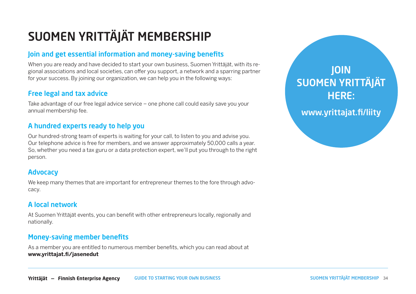## SUOMEN YRITTÄJÄT MEMBERSHIP

## Join and get essential information and money-saving benefits

When you are ready and have decided to start your own business, Suomen Yrittäjät, with its regional associations and local societies, can offer you support, a network and a sparring partner for your success. By joining our organization, we can help you in the following ways:

## Free legal and tax advice

Take advantage of our free legal advice service – one phone call could easily save you your annual membership fee.

## A hundred experts ready to help you

Our hundred-strong team of experts is waiting for your call, to listen to you and advise you. Our telephone advice is free for members, and we answer approximately 50,000 calls a year. So, whether you need a tax guru or a data protection expert, we'll put you through to the right person.

## **Advocacy**

We keep many themes that are important for entrepreneur themes to the fore through advocacy.

## A local network

At Suomen Yrittäjät events, you can benefit with other entrepreneurs locally, regionally and nationally.

## Money-saving member benefits

As a member you are entitled to numerous member benefits, which you can read about at **[www.yrittajat.fi/jasenedut](http://www.yrittajat.fi/jasenedut)**

JOIN [SUOMEN YRITTÄJÄT](http://www.yrittajat.fi/liity)  HERE:

[www.yrittajat.fi/liity](http://www.yrittajat.fi/liity)